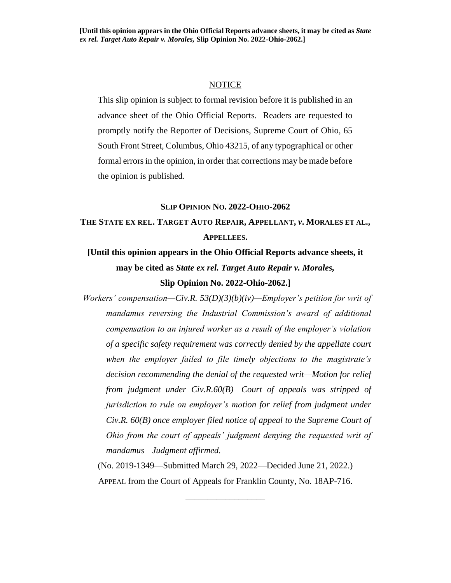#### **NOTICE**

This slip opinion is subject to formal revision before it is published in an advance sheet of the Ohio Official Reports. Readers are requested to promptly notify the Reporter of Decisions, Supreme Court of Ohio, 65 South Front Street, Columbus, Ohio 43215, of any typographical or other formal errors in the opinion, in order that corrections may be made before the opinion is published.

### **SLIP OPINION NO. 2022-OHIO-2062**

# **THE STATE EX REL. TARGET AUTO REPAIR, APPELLANT,** *v***. MORALES ET AL., APPELLEES.**

**[Until this opinion appears in the Ohio Official Reports advance sheets, it may be cited as** *State ex rel. Target Auto Repair v. Morales,* **Slip Opinion No. 2022-Ohio-2062.]**

*Workers' compensation—Civ.R. 53(D)(3)(b)(iv)—Employer's petition for writ of mandamus reversing the Industrial Commission's award of additional compensation to an injured worker as a result of the employer's violation of a specific safety requirement was correctly denied by the appellate court when the employer failed to file timely objections to the magistrate's decision recommending the denial of the requested writ—Motion for relief from judgment under Civ.R.60(B)—Court of appeals was stripped of jurisdiction to rule on employer's motion for relief from judgment under Civ.R. 60(B) once employer filed notice of appeal to the Supreme Court of Ohio from the court of appeals' judgment denying the requested writ of mandamus—Judgment affirmed.*

(No. 2019-1349—Submitted March 29, 2022—Decided June 21, 2022.) APPEAL from the Court of Appeals for Franklin County, No. 18AP-716.

\_\_\_\_\_\_\_\_\_\_\_\_\_\_\_\_\_\_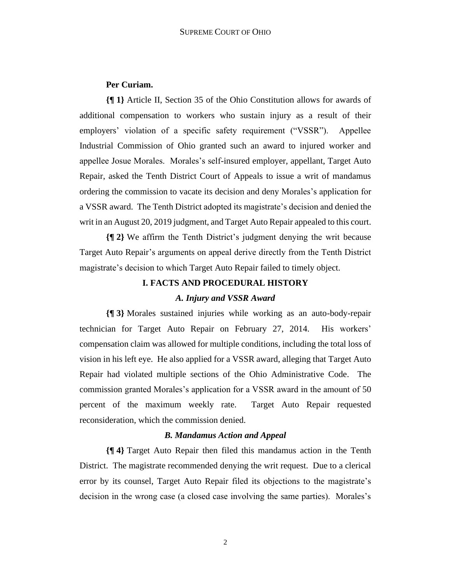### **Per Curiam.**

**{¶ 1}** Article II, Section 35 of the Ohio Constitution allows for awards of additional compensation to workers who sustain injury as a result of their employers' violation of a specific safety requirement ("VSSR"). Appellee Industrial Commission of Ohio granted such an award to injured worker and appellee Josue Morales. Morales's self-insured employer, appellant, Target Auto Repair, asked the Tenth District Court of Appeals to issue a writ of mandamus ordering the commission to vacate its decision and deny Morales's application for a VSSR award. The Tenth District adopted its magistrate's decision and denied the writ in an August 20, 2019 judgment, and Target Auto Repair appealed to this court.

**{¶ 2}** We affirm the Tenth District's judgment denying the writ because Target Auto Repair's arguments on appeal derive directly from the Tenth District magistrate's decision to which Target Auto Repair failed to timely object.

## **I. FACTS AND PROCEDURAL HISTORY** *A. Injury and VSSR Award*

**{¶ 3}** Morales sustained injuries while working as an auto-body-repair technician for Target Auto Repair on February 27, 2014. His workers' compensation claim was allowed for multiple conditions, including the total loss of vision in his left eye. He also applied for a VSSR award, alleging that Target Auto Repair had violated multiple sections of the Ohio Administrative Code. The commission granted Morales's application for a VSSR award in the amount of 50 percent of the maximum weekly rate. Target Auto Repair requested reconsideration, which the commission denied.

#### *B. Mandamus Action and Appeal*

**{¶ 4}** Target Auto Repair then filed this mandamus action in the Tenth District. The magistrate recommended denying the writ request. Due to a clerical error by its counsel, Target Auto Repair filed its objections to the magistrate's decision in the wrong case (a closed case involving the same parties). Morales's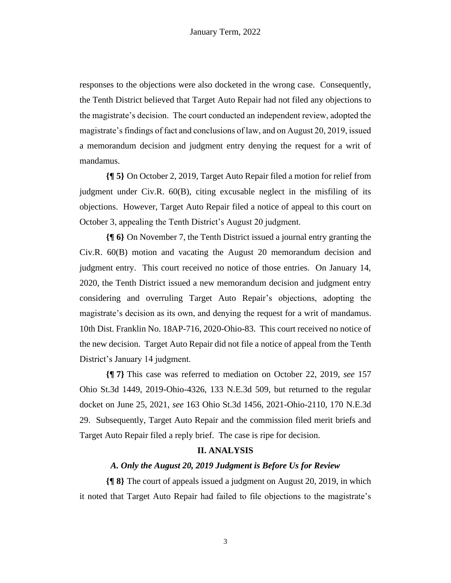responses to the objections were also docketed in the wrong case. Consequently, the Tenth District believed that Target Auto Repair had not filed any objections to the magistrate's decision. The court conducted an independent review, adopted the magistrate's findings of fact and conclusions of law, and on August 20, 2019, issued a memorandum decision and judgment entry denying the request for a writ of mandamus.

**{¶ 5}** On October 2, 2019, Target Auto Repair filed a motion for relief from judgment under Civ.R. 60(B), citing excusable neglect in the misfiling of its objections. However, Target Auto Repair filed a notice of appeal to this court on October 3, appealing the Tenth District's August 20 judgment.

**{¶ 6}** On November 7, the Tenth District issued a journal entry granting the Civ.R. 60(B) motion and vacating the August 20 memorandum decision and judgment entry. This court received no notice of those entries. On January 14, 2020, the Tenth District issued a new memorandum decision and judgment entry considering and overruling Target Auto Repair's objections, adopting the magistrate's decision as its own, and denying the request for a writ of mandamus. 10th Dist. Franklin No. 18AP-716, 2020-Ohio-83. This court received no notice of the new decision. Target Auto Repair did not file a notice of appeal from the Tenth District's January 14 judgment.

**{¶ 7}** This case was referred to mediation on October 22, 2019, *see* 157 Ohio St.3d 1449, 2019-Ohio-4326, 133 N.E.3d 509, but returned to the regular docket on June 25, 2021, *see* 163 Ohio St.3d 1456, 2021-Ohio-2110, 170 N.E.3d 29. Subsequently, Target Auto Repair and the commission filed merit briefs and Target Auto Repair filed a reply brief. The case is ripe for decision.

### **II. ANALYSIS**

### *A. Only the August 20, 2019 Judgment is Before Us for Review*

**{¶ 8}** The court of appeals issued a judgment on August 20, 2019, in which it noted that Target Auto Repair had failed to file objections to the magistrate's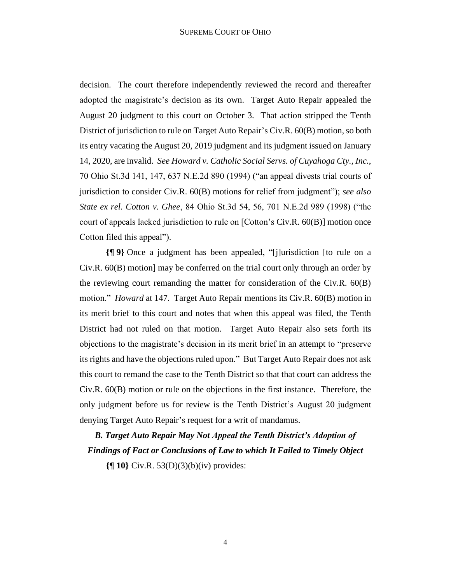decision. The court therefore independently reviewed the record and thereafter adopted the magistrate's decision as its own. Target Auto Repair appealed the August 20 judgment to this court on October 3. That action stripped the Tenth District of jurisdiction to rule on Target Auto Repair's Civ.R. 60(B) motion, so both its entry vacating the August 20, 2019 judgment and its judgment issued on January 14, 2020, are invalid. *See Howard v. Catholic Social Servs. of Cuyahoga Cty., Inc.*, 70 Ohio St.3d 141, 147, 637 N.E.2d 890 (1994) ("an appeal divests trial courts of jurisdiction to consider Civ.R. 60(B) motions for relief from judgment"); *see also State ex rel. Cotton v. Ghee*, 84 Ohio St.3d 54, 56, 701 N.E.2d 989 (1998) ("the court of appeals lacked jurisdiction to rule on [Cotton's Civ.R. 60(B)] motion once Cotton filed this appeal").

**{¶ 9}** Once a judgment has been appealed, "[j]urisdiction [to rule on a Civ.R. 60(B) motion] may be conferred on the trial court only through an order by the reviewing court remanding the matter for consideration of the Civ.R.  $60(B)$ motion." *Howard* at 147. Target Auto Repair mentions its Civ.R. 60(B) motion in its merit brief to this court and notes that when this appeal was filed, the Tenth District had not ruled on that motion. Target Auto Repair also sets forth its objections to the magistrate's decision in its merit brief in an attempt to "preserve its rights and have the objections ruled upon." But Target Auto Repair does not ask this court to remand the case to the Tenth District so that that court can address the Civ.R. 60(B) motion or rule on the objections in the first instance. Therefore, the only judgment before us for review is the Tenth District's August 20 judgment denying Target Auto Repair's request for a writ of mandamus.

*B. Target Auto Repair May Not Appeal the Tenth District's Adoption of Findings of Fact or Conclusions of Law to which It Failed to Timely Object*

**{¶ 10}** Civ.R. 53(D)(3)(b)(iv) provides: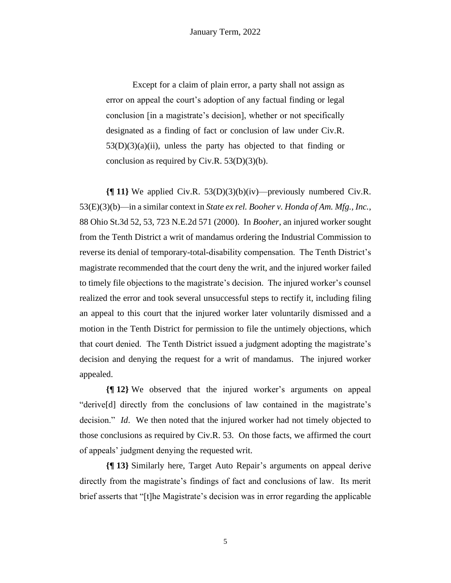Except for a claim of plain error, a party shall not assign as error on appeal the court's adoption of any factual finding or legal conclusion [in a magistrate's decision], whether or not specifically designated as a finding of fact or conclusion of law under Civ.R.  $53(D)(3)(a)(ii)$ , unless the party has objected to that finding or conclusion as required by Civ.R.  $53(D)(3)(b)$ .

**{¶ 11}** We applied Civ.R. 53(D)(3)(b)(iv)—previously numbered Civ.R. 53(E)(3)(b)—in a similar context in *State ex rel. Booher v. Honda of Am. Mfg., Inc.*, 88 Ohio St.3d 52, 53, 723 N.E.2d 571 (2000). In *Booher*, an injured worker sought from the Tenth District a writ of mandamus ordering the Industrial Commission to reverse its denial of temporary-total-disability compensation. The Tenth District's magistrate recommended that the court deny the writ, and the injured worker failed to timely file objections to the magistrate's decision. The injured worker's counsel realized the error and took several unsuccessful steps to rectify it, including filing an appeal to this court that the injured worker later voluntarily dismissed and a motion in the Tenth District for permission to file the untimely objections, which that court denied. The Tenth District issued a judgment adopting the magistrate's decision and denying the request for a writ of mandamus. The injured worker appealed.

**{¶ 12}** We observed that the injured worker's arguments on appeal "derive[d] directly from the conclusions of law contained in the magistrate's decision." *Id*. We then noted that the injured worker had not timely objected to those conclusions as required by Civ.R. 53. On those facts, we affirmed the court of appeals' judgment denying the requested writ.

**{¶ 13}** Similarly here, Target Auto Repair's arguments on appeal derive directly from the magistrate's findings of fact and conclusions of law. Its merit brief asserts that "[t]he Magistrate's decision was in error regarding the applicable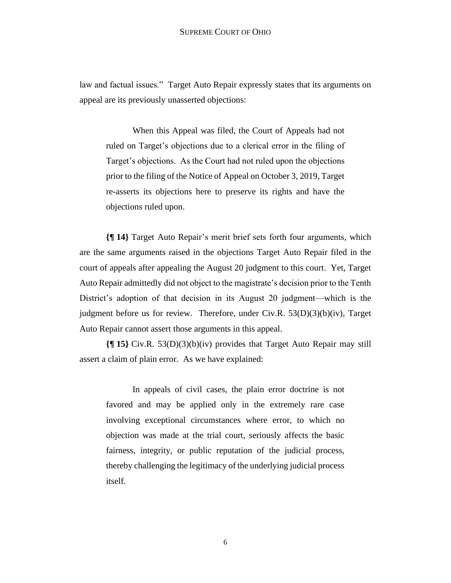law and factual issues." Target Auto Repair expressly states that its arguments on appeal are its previously unasserted objections:

When this Appeal was filed, the Court of Appeals had not ruled on Target's objections due to a clerical error in the filing of Target's objections. As the Court had not ruled upon the objections prior to the filing of the Notice of Appeal on October 3, 2019, Target re-asserts its objections here to preserve its rights and have the objections ruled upon.

**{¶ 14}** Target Auto Repair's merit brief sets forth four arguments, which are the same arguments raised in the objections Target Auto Repair filed in the court of appeals after appealing the August 20 judgment to this court. Yet, Target Auto Repair admittedly did not object to the magistrate's decision prior to the Tenth District's adoption of that decision in its August 20 judgment—which is the judgment before us for review. Therefore, under Civ.R. 53(D)(3)(b)(iv), Target Auto Repair cannot assert those arguments in this appeal.

**{¶ 15}** Civ.R. 53(D)(3)(b)(iv) provides that Target Auto Repair may still assert a claim of plain error. As we have explained:

In appeals of civil cases, the plain error doctrine is not favored and may be applied only in the extremely rare case involving exceptional circumstances where error, to which no objection was made at the trial court, seriously affects the basic fairness, integrity, or public reputation of the judicial process, thereby challenging the legitimacy of the underlying judicial process itself.